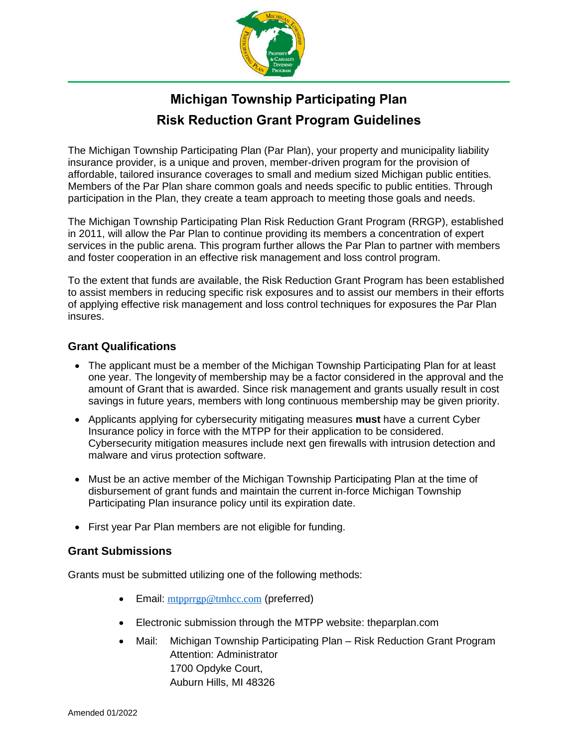

# **Michigan Township Participating Plan Risk Reduction Grant Program Guidelines**

The Michigan Township Participating Plan (Par Plan), your property and municipality liability insurance provider, is a unique and proven, member-driven program for the provision of affordable, tailored insurance coverages to small and medium sized Michigan public entities. Members of the Par Plan share common goals and needs specific to public entities. Through participation in the Plan, they create a team approach to meeting those goals and needs.

The Michigan Township Participating Plan Risk Reduction Grant Program (RRGP), established in 2011, will allow the Par Plan to continue providing its members a concentration of expert services in the public arena. This program further allows the Par Plan to partner with members and foster cooperation in an effective risk management and loss control program.

To the extent that funds are available, the Risk Reduction Grant Program has been established to assist members in reducing specific risk exposures and to assist our members in their efforts of applying effective risk management and loss control techniques for exposures the Par Plan insures.

### **Grant Qualifications**

- The applicant must be a member of the Michigan Township Participating Plan for at least one year. The longevity of membership may be a factor considered in the approval and the amount of Grant that is awarded. Since risk management and grants usually result in cost savings in future years, members with long continuous membership may be given priority.
- Applicants applying for cybersecurity mitigating measures **must** have a current Cyber Insurance policy in force with the MTPP for their application to be considered. Cybersecurity mitigation measures include next gen firewalls with intrusion detection and malware and virus protection software.
- Must be an active member of the Michigan Township Participating Plan at the time of disbursement of grant funds and maintain the current in-force Michigan Township Participating Plan insurance policy until its expiration date.
- First year Par Plan members are not eligible for funding.

### **Grant Submissions**

Grants must be submitted utilizing one of the following methods:

- Email: [mtpprrgp@tmhcc.com](mailto:mtpprrgp@tmhcc.com) (preferred)
- Electronic submission through the MTPP website: theparplan.com
- Mail: Michigan Township Participating Plan Risk Reduction Grant Program Attention: Administrator 1700 Opdyke Court, Auburn Hills, MI 48326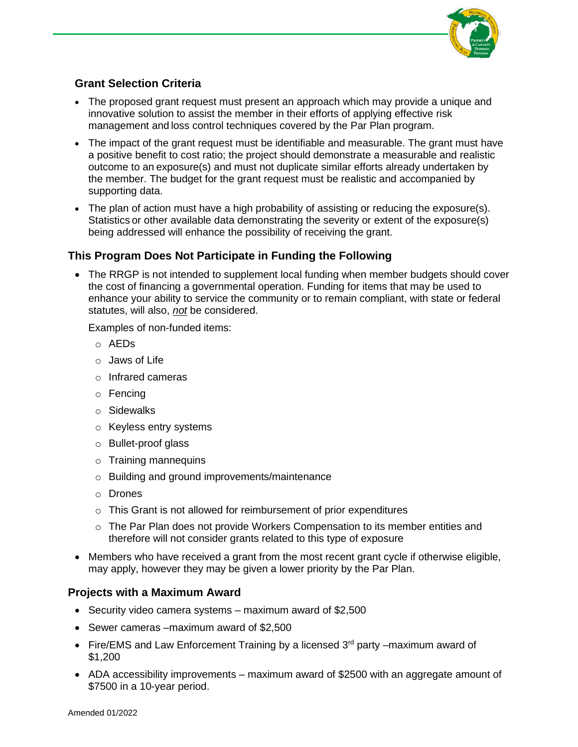

## **Grant Selection Criteria**

- The proposed grant request must present an approach which may provide a unique and innovative solution to assist the member in their efforts of applying effective risk management and loss control techniques covered by the Par Plan program.
- The impact of the grant request must be identifiable and measurable. The grant must have a positive benefit to cost ratio; the project should demonstrate a measurable and realistic outcome to an exposure(s) and must not duplicate similar efforts already undertaken by the member. The budget for the grant request must be realistic and accompanied by supporting data.
- The plan of action must have a high probability of assisting or reducing the exposure(s). Statistics or other available data demonstrating the severity or extent of the exposure(s) being addressed will enhance the possibility of receiving the grant.

## **This Program Does Not Participate in Funding the Following**

• The RRGP is not intended to supplement local funding when member budgets should cover the cost of financing a governmental operation. Funding for items that may be used to enhance your ability to service the community or to remain compliant, with state or federal statutes, will also, *not* be considered.

Examples of non-funded items:

- o AEDs
- $\circ$  Jaws of Life
- o Infrared cameras
- o Fencing
- o Sidewalks
- o Keyless entry systems
- o Bullet-proof glass
- o Training mannequins
- o Building and ground improvements/maintenance
- o Drones
- o This Grant is not allowed for reimbursement of prior expenditures
- $\circ$  The Par Plan does not provide Workers Compensation to its member entities and therefore will not consider grants related to this type of exposure
- Members who have received a grant from the most recent grant cycle if otherwise eligible, may apply, however they may be given a lower priority by the Par Plan.

### **Projects with a Maximum Award**

- Security video camera systems maximum award of \$2,500
- Sewer cameras –maximum award of \$2,500
- Fire/EMS and Law Enforcement Training by a licensed  $3<sup>rd</sup>$  party –maximum award of \$1,200
- ADA accessibility improvements maximum award of \$2500 with an aggregate amount of \$7500 in a 10-year period.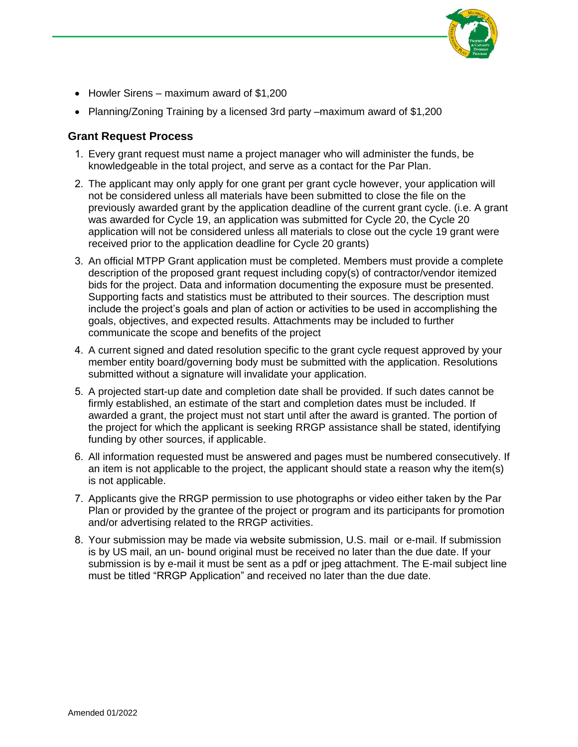

- Howler Sirens maximum award of \$1,200
- Planning/Zoning Training by a licensed 3rd party –maximum award of \$1,200

#### **Grant Request Process**

- 1. Every grant request must name a project manager who will administer the funds, be knowledgeable in the total project, and serve as a contact for the Par Plan.
- 2. The applicant may only apply for one grant per grant cycle however, your application will not be considered unless all materials have been submitted to close the file on the previously awarded grant by the application deadline of the current grant cycle. (i.e. A grant was awarded for Cycle 19, an application was submitted for Cycle 20, the Cycle 20 application will not be considered unless all materials to close out the cycle 19 grant were received prior to the application deadline for Cycle 20 grants)
- 3. An official MTPP Grant application must be completed. Members must provide a complete description of the proposed grant request including copy(s) of contractor/vendor itemized bids for the project. Data and information documenting the exposure must be presented. Supporting facts and statistics must be attributed to their sources. The description must include the project's goals and plan of action or activities to be used in accomplishing the goals, objectives, and expected results. Attachments may be included to further communicate the scope and benefits of the project
- 4. A current signed and dated resolution specific to the grant cycle request approved by your member entity board/governing body must be submitted with the application. Resolutions submitted without a signature will invalidate your application.
- 5. A projected start-up date and completion date shall be provided. If such dates cannot be firmly established, an estimate of the start and completion dates must be included. If awarded a grant, the project must not start until after the award is granted. The portion of the project for which the applicant is seeking RRGP assistance shall be stated, identifying funding by other sources, if applicable.
- 6. All information requested must be answered and pages must be numbered consecutively. If an item is not applicable to the project, the applicant should state a reason why the item(s) is not applicable.
- 7. Applicants give the RRGP permission to use photographs or video either taken by the Par Plan or provided by the grantee of the project or program and its participants for promotion and/or advertising related to the RRGP activities.
- 8. Your submission may be made via website submission, U.S. mail or e-mail. If submission is by US mail, an un- bound original must be received no later than the due date. If your submission is by e-mail it must be sent as a pdf or jpeg attachment. The E-mail subject line must be titled "RRGP Application" and received no later than the due date.